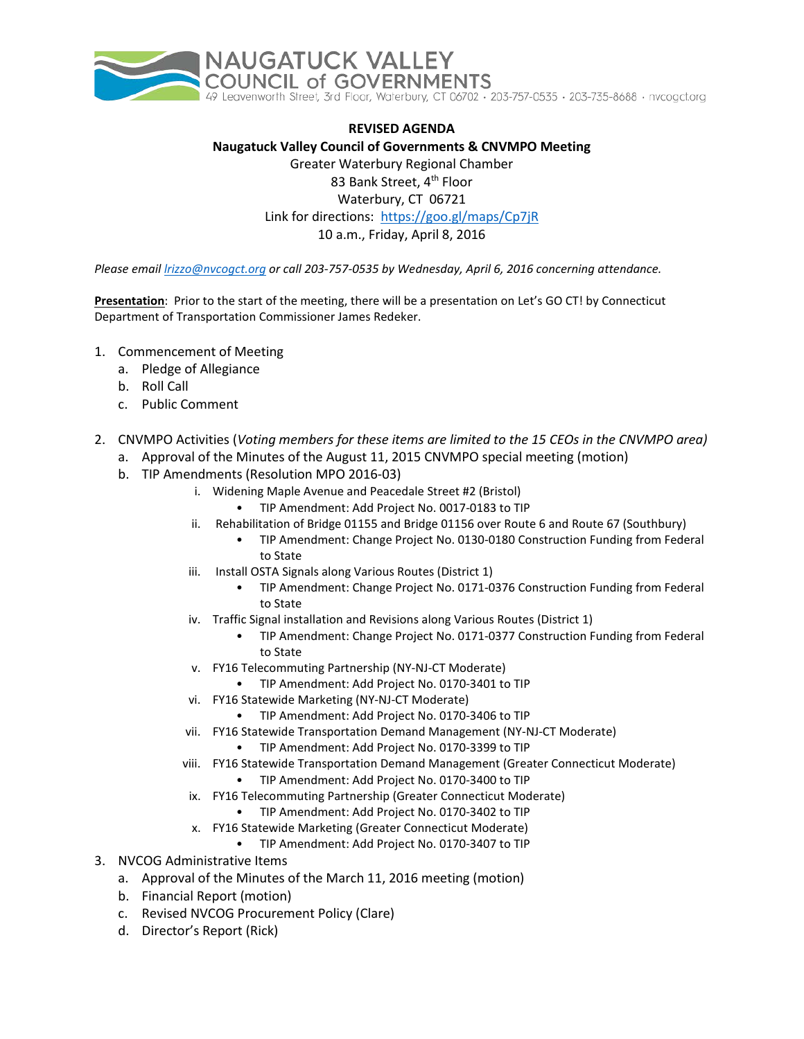

**REVISED AGENDA Naugatuck Valley Council of Governments & CNVMPO Meeting** Greater Waterbury Regional Chamber 83 Bank Street, 4<sup>th</sup> Floor Waterbury, CT 06721 Link for directions: <https://goo.gl/maps/Cp7jR> 10 a.m., Friday, April 8, 2016

*Please email [lrizzo@nvcogct.org](mailto:lrizzo@nvcogct.org) or call 203-757-0535 by Wednesday, April 6, 2016 concerning attendance.*

**Presentation**: Prior to the start of the meeting, there will be a presentation on Let's GO CT! by Connecticut Department of Transportation Commissioner James Redeker.

- 1. Commencement of Meeting
	- a. Pledge of Allegiance
	- b. Roll Call
	- c. Public Comment
- 2. CNVMPO Activities (*Voting members for these items are limited to the 15 CEOs in the CNVMPO area)*
	- a. Approval of the Minutes of the August 11, 2015 CNVMPO special meeting (motion)
		- b. TIP Amendments (Resolution MPO 2016-03)
			- i. Widening Maple Avenue and Peacedale Street #2 (Bristol)
				- TIP Amendment: Add Project No. 0017-0183 to TIP
			- ii. Rehabilitation of Bridge 01155 and Bridge 01156 over Route 6 and Route 67 (Southbury)
				- TIP Amendment: Change Project No. 0130-0180 Construction Funding from Federal to State
			- iii. Install OSTA Signals along Various Routes (District 1)
				- TIP Amendment: Change Project No. 0171-0376 Construction Funding from Federal to State
			- iv. Traffic Signal installation and Revisions along Various Routes (District 1)
				- TIP Amendment: Change Project No. 0171-0377 Construction Funding from Federal to State
			- v. FY16 Telecommuting Partnership (NY-NJ-CT Moderate)
				- TIP Amendment: Add Project No. 0170-3401 to TIP
			- vi. FY16 Statewide Marketing (NY-NJ-CT Moderate)
				- TIP Amendment: Add Project No. 0170-3406 to TIP
			- vii. FY16 Statewide Transportation Demand Management (NY-NJ-CT Moderate)
				- TIP Amendment: Add Project No. 0170-3399 to TIP
			- viii. FY16 Statewide Transportation Demand Management (Greater Connecticut Moderate) • TIP Amendment: Add Project No. 0170-3400 to TIP
			- ix. FY16 Telecommuting Partnership (Greater Connecticut Moderate)
				- TIP Amendment: Add Project No. 0170-3402 to TIP
			- x. FY16 Statewide Marketing (Greater Connecticut Moderate)
				- TIP Amendment: Add Project No. 0170-3407 to TIP
- 3. NVCOG Administrative Items
	- a. Approval of the Minutes of the March 11, 2016 meeting (motion)
	- b. Financial Report (motion)
	- c. Revised NVCOG Procurement Policy (Clare)
	- d. Director's Report (Rick)